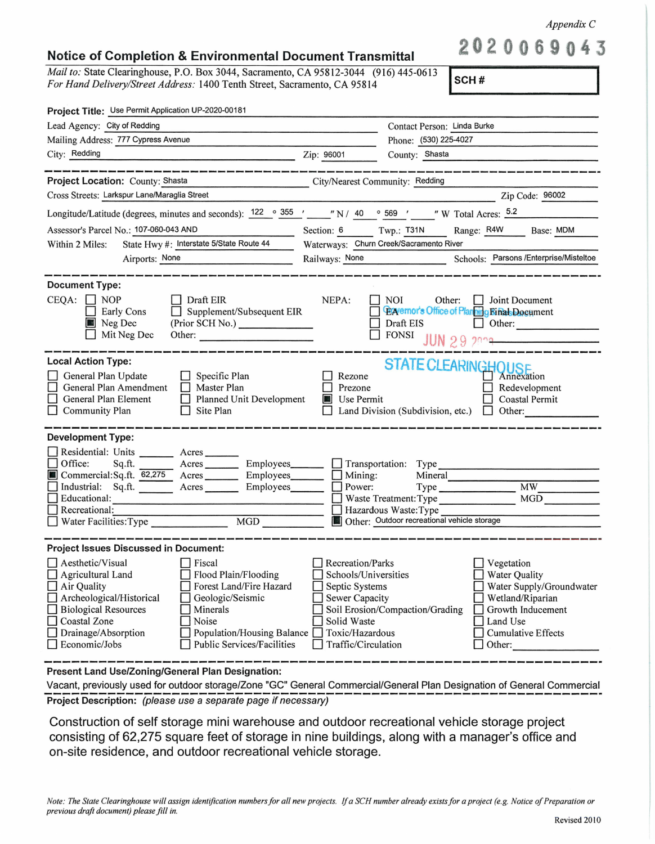*Appendix C* 

**202 69 43** 

## **Notice of Completion** & **Environmental Document Transmittal**

*Mail to:* State Clearinghouse, P.O. Box 3044, Sacramento, CA 95812-3044 (916) 445-0613 *For Hand Delivery/Street Address:* 1400 Tenth Street, Sacramento, CA 95814

**SCH#** 

| Project Title: Use Permit Application UP-2020-00181                                                                                                                                                |                                                       |                                                                                                          |                                                             |  |
|----------------------------------------------------------------------------------------------------------------------------------------------------------------------------------------------------|-------------------------------------------------------|----------------------------------------------------------------------------------------------------------|-------------------------------------------------------------|--|
| Lead Agency: City of Redding                                                                                                                                                                       |                                                       | Contact Person: Linda Burke                                                                              |                                                             |  |
| Mailing Address: 777 Cypress Avenue                                                                                                                                                                |                                                       | Phone: (530) 225-4027                                                                                    |                                                             |  |
| City: Redding                                                                                                                                                                                      | Zip: 96001                                            | County: Shasta                                                                                           |                                                             |  |
|                                                                                                                                                                                                    |                                                       |                                                                                                          |                                                             |  |
| Project Location: County: Shasta<br>the contract of the contract of the contract of the contract of the contract of the                                                                            |                                                       | City/Nearest Community: Redding                                                                          |                                                             |  |
| Cross Streets: Larkspur Lane/Maraglia Street                                                                                                                                                       |                                                       |                                                                                                          | Zip Code: 96002                                             |  |
| Longitude/Latitude (degrees, minutes and seconds): $\frac{122}{ }$ $\circ$ $\frac{355}{ }$ $\prime$ $\cdots$ $\prime$ N / 40 $\circ$ 569 $\prime$ $\cdots$ $\prime$ W Total Acres: $\frac{5.2}{ }$ |                                                       |                                                                                                          |                                                             |  |
| Assessor's Parcel No.: 107-060-043 AND                                                                                                                                                             | Section: 6 Twp.: T31N                                 |                                                                                                          | Range: R4W<br>Base: MDM                                     |  |
| State Hwy #: Interstate 5/State Route 44<br>Within 2 Miles:                                                                                                                                        |                                                       | Waterways: Churn Creek/Sacramento River                                                                  |                                                             |  |
| Airports: None<br><u> 1980 - Jan Barnett, martin amerikan ba</u>                                                                                                                                   |                                                       |                                                                                                          | Railways: None Schools: Parsons /Enterprise/Misteltoe       |  |
| <b>Document Type:</b>                                                                                                                                                                              |                                                       |                                                                                                          |                                                             |  |
| $CEQA: \Box NP$<br>Draft EIR<br>Supplement/Subsequent EIR<br>Early Cons<br>Neg Dec<br>(Prior SCH No.)<br>Mit Neg Dec<br>Other:                                                                     | NEPA:                                                 | <b>NOI</b><br>Other:<br><b>Exvernor's Office of Planning Rinal Document</b><br>Draft EIS<br><b>FONSI</b> | Joint Document<br>Other:<br>JUN 29 2009                     |  |
| <b>Local Action Type:</b>                                                                                                                                                                          |                                                       |                                                                                                          |                                                             |  |
| General Plan Update<br>Specific Plan<br>General Plan Amendment<br>Master Plan<br>General Plan Element<br>Planned Unit Development<br>Community Plan<br>Site Plan                                   | Rezone<br>Prezone<br>Use Permit<br><b>All Service</b> | STATE CLEARINGHOUSE<br>Land Division (Subdivision, etc.)                                                 | Redevelopment<br>Coastal Permit<br>Other:<br>$\overline{1}$ |  |
| <b>Development Type:</b>                                                                                                                                                                           |                                                       |                                                                                                          |                                                             |  |
| Residential: Units ________ Acres                                                                                                                                                                  |                                                       |                                                                                                          |                                                             |  |
| Office:<br>Employees______<br>Acres<br>Sq.ft.<br>Commercial:Sq.ft. 62,275 Acres Employees                                                                                                          |                                                       | Transportation: Type<br>Mineral                                                                          |                                                             |  |
| Industrial: Sq.ft.<br>Acres Employees                                                                                                                                                              | Mining:<br>Power:                                     |                                                                                                          | MW                                                          |  |
| Educational:                                                                                                                                                                                       |                                                       | Waste Treatment: Type                                                                                    | <b>MGD</b>                                                  |  |
| Recreational:                                                                                                                                                                                      |                                                       | Hazardous Waste: Type                                                                                    |                                                             |  |
| □ Recreational:<br>□ Water Facilities:Type _______________<br>MGD                                                                                                                                  |                                                       | Other: Outdoor recreational vehicle storage                                                              |                                                             |  |
| <b>Project Issues Discussed in Document:</b>                                                                                                                                                       |                                                       |                                                                                                          |                                                             |  |
| Fiscal<br>Aesthetic/Visual                                                                                                                                                                         | Recreation/Parks                                      |                                                                                                          | Vegetation                                                  |  |
| Flood Plain/Flooding<br>Agricultural Land                                                                                                                                                          |                                                       | Schools/Universities<br><b>Water Quality</b>                                                             |                                                             |  |
| Air Quality<br>Forest Land/Fire Hazard                                                                                                                                                             | Septic Systems                                        |                                                                                                          | Water Supply/Groundwater                                    |  |
| Archeological/Historical<br>Geologic/Seismic<br><b>Biological Resources</b><br>Minerals                                                                                                            | <b>Sewer Capacity</b>                                 | Soil Erosion/Compaction/Grading                                                                          | Wetland/Riparian<br>Growth Inducement                       |  |
| Coastal Zone<br>Noise                                                                                                                                                                              | Solid Waste                                           |                                                                                                          | Land Use                                                    |  |
| Drainage/Absorption<br>Population/Housing Balance                                                                                                                                                  | Toxic/Hazardous                                       |                                                                                                          | <b>Cumulative Effects</b>                                   |  |
| <b>Public Services/Facilities</b><br>Economic/Jobs                                                                                                                                                 | Traffic/Circulation                                   |                                                                                                          | Other:                                                      |  |
|                                                                                                                                                                                                    |                                                       |                                                                                                          |                                                             |  |

**Present Land Use/Zoning/General Plan Designation:** 

Vacant, previously used for outdoor storage/Zone "GC" General Commercial/General Plan Designation of General Commercial<br>
Project Description: (please use a separate page if necessary)<br>
Project Description: (please use a se

Construction of self storage mini warehouse and outdoor recreational vehicle storage project consisting of 62,275 square feet of storage in nine buildings, along with a manager's office and on-site residence, and outdoor recreational vehicle storage.